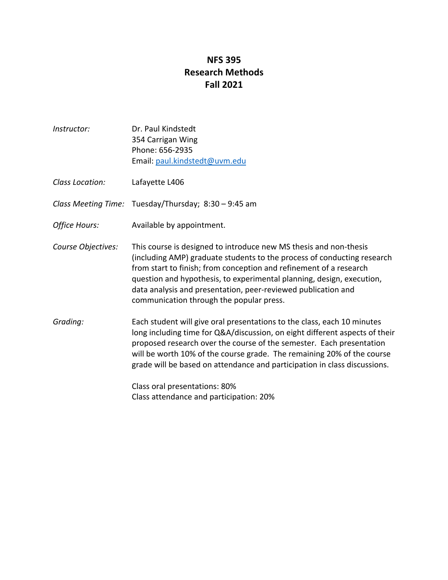## **NFS 395 Research Methods Fall 2021**

*Instructor:* Dr. Paul Kindstedt 354 Carrigan Wing Phone: 656-2935 Email: paul.kindstedt@uvm.edu *Class Location:* Lafayette L406 *Class Meeting Time:* Tuesday/Thursday; 8:30 – 9:45 am *Office Hours:* Available by appointment. *Course Objectives:* This course is designed to introduce new MS thesis and non-thesis (including AMP) graduate students to the process of conducting research from start to finish; from conception and refinement of a research question and hypothesis, to experimental planning, design, execution, data analysis and presentation, peer-reviewed publication and communication through the popular press. *Grading:* Each student will give oral presentations to the class, each 10 minutes long including time for Q&A/discussion, on eight different aspects of their proposed research over the course of the semester. Each presentation will be worth 10% of the course grade. The remaining 20% of the course grade will be based on attendance and participation in class discussions. Class oral presentations: 80%

Class attendance and participation: 20%